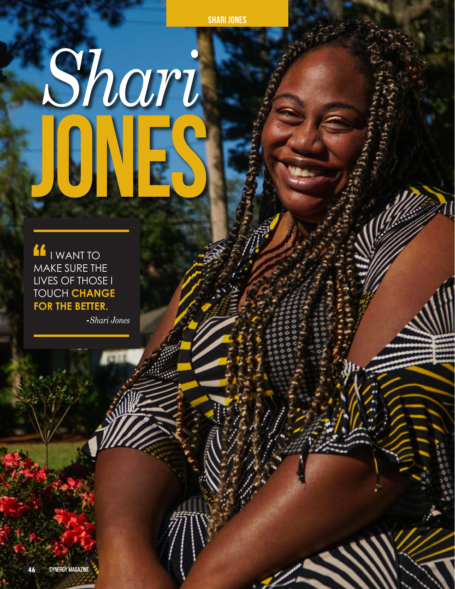**Shari jones**

## *Shari*  **Jones**

" I want to make sure the lives of those I touch **change for the better.**

**-***Shari Jones*